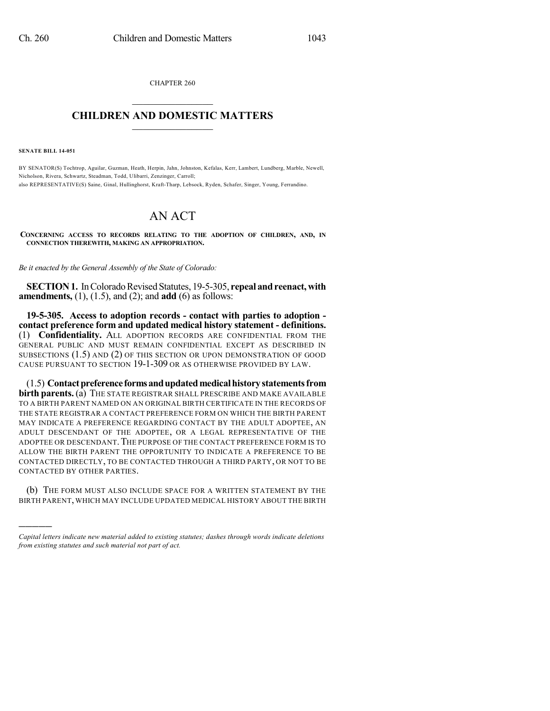CHAPTER 260  $\mathcal{L}_\text{max}$  . The set of the set of the set of the set of the set of the set of the set of the set of the set of the set of the set of the set of the set of the set of the set of the set of the set of the set of the set

## **CHILDREN AND DOMESTIC MATTERS**  $\_$

**SENATE BILL 14-051**

)))))

BY SENATOR(S) Tochtrop, Aguilar, Guzman, Heath, Herpin, Jahn, Johnston, Kefalas, Kerr, Lambert, Lundberg, Marble, Newell, Nicholson, Rivera, Schwartz, Steadman, Todd, Ulibarri, Zenzinger, Carroll; also REPRESENTATIVE(S) Saine, Ginal, Hullinghorst, Kraft-Tharp, Lebsock, Ryden, Schafer, Singer, Young, Ferrandino.

## AN ACT

**CONCERNING ACCESS TO RECORDS RELATING TO THE ADOPTION OF CHILDREN, AND, IN CONNECTION THEREWITH, MAKING AN APPROPRIATION.**

*Be it enacted by the General Assembly of the State of Colorado:*

**SECTION 1.** In Colorado Revised Statutes, 19-5-305, repeal and reenact, with **amendments,** (1), (1.5), and (2); and **add** (6) as follows:

**19-5-305. Access to adoption records - contact with parties to adoption contact preference form and updated medical history statement - definitions.** (1) **Confidentiality.** ALL ADOPTION RECORDS ARE CONFIDENTIAL FROM THE GENERAL PUBLIC AND MUST REMAIN CONFIDENTIAL EXCEPT AS DESCRIBED IN SUBSECTIONS (1.5) AND (2) OF THIS SECTION OR UPON DEMONSTRATION OF GOOD CAUSE PURSUANT TO SECTION 19-1-309 OR AS OTHERWISE PROVIDED BY LAW.

(1.5) **Contactpreferenceformsandupdatedmedicalhistorystatementsfrom birth parents.** (a) THE STATE REGISTRAR SHALL PRESCRIBE AND MAKE AVAILABLE TO A BIRTH PARENT NAMED ON AN ORIGINAL BIRTH CERTIFICATE IN THE RECORDS OF THE STATE REGISTRAR A CONTACT PREFERENCE FORM ON WHICH THE BIRTH PARENT MAY INDICATE A PREFERENCE REGARDING CONTACT BY THE ADULT ADOPTEE, AN ADULT DESCENDANT OF THE ADOPTEE, OR A LEGAL REPRESENTATIVE OF THE ADOPTEE OR DESCENDANT. THE PURPOSE OF THE CONTACT PREFERENCE FORM IS TO ALLOW THE BIRTH PARENT THE OPPORTUNITY TO INDICATE A PREFERENCE TO BE CONTACTED DIRECTLY, TO BE CONTACTED THROUGH A THIRD PARTY, OR NOT TO BE CONTACTED BY OTHER PARTIES.

(b) THE FORM MUST ALSO INCLUDE SPACE FOR A WRITTEN STATEMENT BY THE BIRTH PARENT, WHICH MAY INCLUDE UPDATED MEDICAL HISTORY ABOUT THE BIRTH

*Capital letters indicate new material added to existing statutes; dashes through words indicate deletions from existing statutes and such material not part of act.*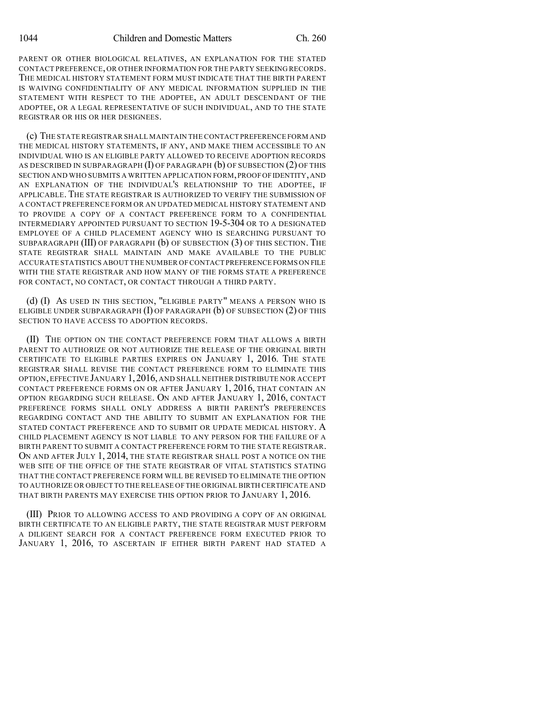PARENT OR OTHER BIOLOGICAL RELATIVES, AN EXPLANATION FOR THE STATED CONTACT PREFERENCE, OR OTHER INFORMATION FOR THE PARTY SEEKING RECORDS. THE MEDICAL HISTORY STATEMENT FORM MUST INDICATE THAT THE BIRTH PARENT IS WAIVING CONFIDENTIALITY OF ANY MEDICAL INFORMATION SUPPLIED IN THE STATEMENT WITH RESPECT TO THE ADOPTEE, AN ADULT DESCENDANT OF THE ADOPTEE, OR A LEGAL REPRESENTATIVE OF SUCH INDIVIDUAL, AND TO THE STATE REGISTRAR OR HIS OR HER DESIGNEES.

(c) THE STATE REGISTRAR SHALL MAINTAIN THE CONTACT PREFERENCE FORM AND THE MEDICAL HISTORY STATEMENTS, IF ANY, AND MAKE THEM ACCESSIBLE TO AN INDIVIDUAL WHO IS AN ELIGIBLE PARTY ALLOWED TO RECEIVE ADOPTION RECORDS AS DESCRIBED IN SUBPARAGRAPH  $(I)$  OF PARAGRAPH  $(b)$  OF SUBSECTION  $(2)$  OF THIS SECTION AND WHO SUBMITS A WRITTEN APPLICATION FORM,PROOFOFIDENTITY,AND AN EXPLANATION OF THE INDIVIDUAL'S RELATIONSHIP TO THE ADOPTEE, IF APPLICABLE. THE STATE REGISTRAR IS AUTHORIZED TO VERIFY THE SUBMISSION OF A CONTACT PREFERENCE FORM OR AN UPDATED MEDICAL HISTORY STATEMENT AND TO PROVIDE A COPY OF A CONTACT PREFERENCE FORM TO A CONFIDENTIAL INTERMEDIARY APPOINTED PURSUANT TO SECTION 19-5-304 OR TO A DESIGNATED EMPLOYEE OF A CHILD PLACEMENT AGENCY WHO IS SEARCHING PURSUANT TO SUBPARAGRAPH (III) OF PARAGRAPH (b) OF SUBSECTION (3) OF THIS SECTION. THE STATE REGISTRAR SHALL MAINTAIN AND MAKE AVAILABLE TO THE PUBLIC ACCURATE STATISTICS ABOUT THE NUMBER OFCONTACT PREFERENCE FORMS ON FILE WITH THE STATE REGISTRAR AND HOW MANY OF THE FORMS STATE A PREFERENCE FOR CONTACT, NO CONTACT, OR CONTACT THROUGH A THIRD PARTY.

(d) (I) AS USED IN THIS SECTION, "ELIGIBLE PARTY" MEANS A PERSON WHO IS ELIGIBLE UNDER SUBPARAGRAPH  $(I)$  OF PARAGRAPH  $(b)$  OF SUBSECTION  $(2)$  OF THIS SECTION TO HAVE ACCESS TO ADOPTION RECORDS.

(II) THE OPTION ON THE CONTACT PREFERENCE FORM THAT ALLOWS A BIRTH PARENT TO AUTHORIZE OR NOT AUTHORIZE THE RELEASE OF THE ORIGINAL BIRTH CERTIFICATE TO ELIGIBLE PARTIES EXPIRES ON JANUARY 1, 2016. THE STATE REGISTRAR SHALL REVISE THE CONTACT PREFERENCE FORM TO ELIMINATE THIS OPTION,EFFECTIVE JANUARY 1,2016, AND SHALL NEITHER DISTRIBUTE NOR ACCEPT CONTACT PREFERENCE FORMS ON OR AFTER JANUARY 1, 2016, THAT CONTAIN AN OPTION REGARDING SUCH RELEASE. ON AND AFTER JANUARY 1, 2016, CONTACT PREFERENCE FORMS SHALL ONLY ADDRESS A BIRTH PARENT'S PREFERENCES REGARDING CONTACT AND THE ABILITY TO SUBMIT AN EXPLANATION FOR THE STATED CONTACT PREFERENCE AND TO SUBMIT OR UPDATE MEDICAL HISTORY. A CHILD PLACEMENT AGENCY IS NOT LIABLE TO ANY PERSON FOR THE FAILURE OF A BIRTH PARENT TO SUBMIT A CONTACT PREFERENCE FORM TO THE STATE REGISTRAR. ON AND AFTER JULY 1, 2014, THE STATE REGISTRAR SHALL POST A NOTICE ON THE WEB SITE OF THE OFFICE OF THE STATE REGISTRAR OF VITAL STATISTICS STATING THAT THE CONTACT PREFERENCE FORM WILL BE REVISED TO ELIMINATE THE OPTION TO AUTHORIZE OR OBJECT TO THE RELEASE OF THE ORIGINAL BIRTH CERTIFICATE AND THAT BIRTH PARENTS MAY EXERCISE THIS OPTION PRIOR TO JANUARY 1, 2016.

(III) PRIOR TO ALLOWING ACCESS TO AND PROVIDING A COPY OF AN ORIGINAL BIRTH CERTIFICATE TO AN ELIGIBLE PARTY, THE STATE REGISTRAR MUST PERFORM A DILIGENT SEARCH FOR A CONTACT PREFERENCE FORM EXECUTED PRIOR TO JANUARY 1, 2016, TO ASCERTAIN IF EITHER BIRTH PARENT HAD STATED A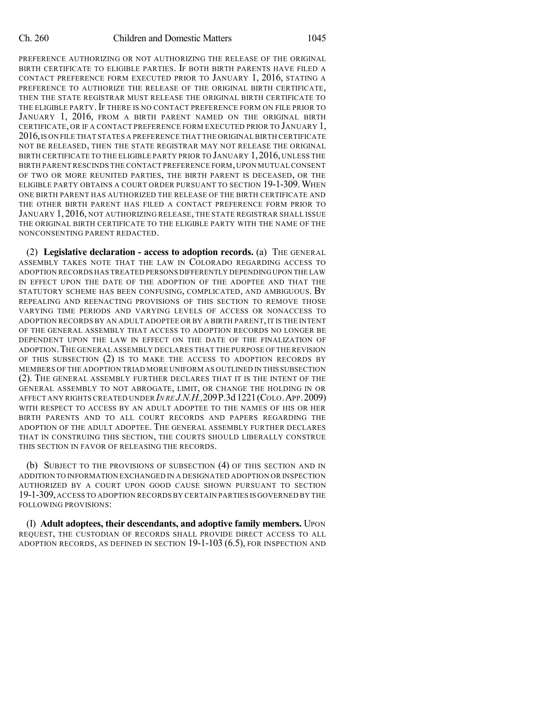PREFERENCE AUTHORIZING OR NOT AUTHORIZING THE RELEASE OF THE ORIGINAL BIRTH CERTIFICATE TO ELIGIBLE PARTIES. IF BOTH BIRTH PARENTS HAVE FILED A CONTACT PREFERENCE FORM EXECUTED PRIOR TO JANUARY 1, 2016, STATING A PREFERENCE TO AUTHORIZE THE RELEASE OF THE ORIGINAL BIRTH CERTIFICATE, THEN THE STATE REGISTRAR MUST RELEASE THE ORIGINAL BIRTH CERTIFICATE TO THE ELIGIBLE PARTY. IF THERE IS NO CONTACT PREFERENCE FORM ON FILE PRIOR TO JANUARY 1, 2016, FROM A BIRTH PARENT NAMED ON THE ORIGINAL BIRTH CERTIFICATE, OR IF A CONTACT PREFERENCE FORM EXECUTED PRIOR TO JANUARY 1, 2016,IS ON FILE THAT STATES A PREFERENCE THAT THE ORIGINAL BIRTH CERTIFICATE NOT BE RELEASED, THEN THE STATE REGISTRAR MAY NOT RELEASE THE ORIGINAL BIRTH CERTIFICATE TO THE ELIGIBLE PARTY PRIOR TO JANUARY 1,2016, UNLESS THE BIRTH PARENT RESCINDS THE CONTACT PREFERENCE FORM, UPON MUTUALCONSENT OF TWO OR MORE REUNITED PARTIES, THE BIRTH PARENT IS DECEASED, OR THE ELIGIBLE PARTY OBTAINS A COURT ORDER PURSUANT TO SECTION 19-1-309. WHEN ONE BIRTH PARENT HAS AUTHORIZED THE RELEASE OF THE BIRTH CERTIFICATE AND THE OTHER BIRTH PARENT HAS FILED A CONTACT PREFERENCE FORM PRIOR TO JANUARY 1, 2016, NOT AUTHORIZING RELEASE, THE STATE REGISTRAR SHALL ISSUE THE ORIGINAL BIRTH CERTIFICATE TO THE ELIGIBLE PARTY WITH THE NAME OF THE NONCONSENTING PARENT REDACTED.

(2) **Legislative declaration - access to adoption records.** (a) THE GENERAL ASSEMBLY TAKES NOTE THAT THE LAW IN COLORADO REGARDING ACCESS TO ADOPTION RECORDS HAS TREATED PERSONS DIFFERENTLY DEPENDINGUPON THE LAW IN EFFECT UPON THE DATE OF THE ADOPTION OF THE ADOPTEE AND THAT THE STATUTORY SCHEME HAS BEEN CONFUSING, COMPLICATED, AND AMBIGUOUS. BY REPEALING AND REENACTING PROVISIONS OF THIS SECTION TO REMOVE THOSE VARYING TIME PERIODS AND VARYING LEVELS OF ACCESS OR NONACCESS TO ADOPTION RECORDS BY AN ADULT ADOPTEE OR BY A BIRTH PARENT, IT IS THE INTENT OF THE GENERAL ASSEMBLY THAT ACCESS TO ADOPTION RECORDS NO LONGER BE DEPENDENT UPON THE LAW IN EFFECT ON THE DATE OF THE FINALIZATION OF ADOPTION.THE GENERAL ASSEMBLY DECLARES THAT THE PURPOSE OF THE REVISION OF THIS SUBSECTION (2) IS TO MAKE THE ACCESS TO ADOPTION RECORDS BY MEMBERS OF THE ADOPTION TRIAD MORE UNIFORM AS OUTLINED IN THIS SUBSECTION (2). THE GENERAL ASSEMBLY FURTHER DECLARES THAT IT IS THE INTENT OF THE GENERAL ASSEMBLY TO NOT ABROGATE, LIMIT, OR CHANGE THE HOLDING IN OR AFFECT ANY RIGHTS CREATED UNDER *IN RE J.N.H.,*209P.3d 1221(COLO.APP.2009) WITH RESPECT TO ACCESS BY AN ADULT ADOPTEE TO THE NAMES OF HIS OR HER BIRTH PARENTS AND TO ALL COURT RECORDS AND PAPERS REGARDING THE ADOPTION OF THE ADULT ADOPTEE. THE GENERAL ASSEMBLY FURTHER DECLARES THAT IN CONSTRUING THIS SECTION, THE COURTS SHOULD LIBERALLY CONSTRUE THIS SECTION IN FAVOR OF RELEASING THE RECORDS.

(b) SUBJECT TO THE PROVISIONS OF SUBSECTION (4) OF THIS SECTION AND IN ADDITION TO INFORMATION EXCHANGED IN A DESIGNATED ADOPTION OR INSPECTION AUTHORIZED BY A COURT UPON GOOD CAUSE SHOWN PURSUANT TO SECTION 19-1-309,ACCESS TO ADOPTION RECORDS BY CERTAIN PARTIES IS GOVERNED BY THE FOLLOWING PROVISIONS:

(I) **Adult adoptees, their descendants, and adoptive family members.** UPON REQUEST, THE CUSTODIAN OF RECORDS SHALL PROVIDE DIRECT ACCESS TO ALL ADOPTION RECORDS, AS DEFINED IN SECTION 19-1-103 (6.5), FOR INSPECTION AND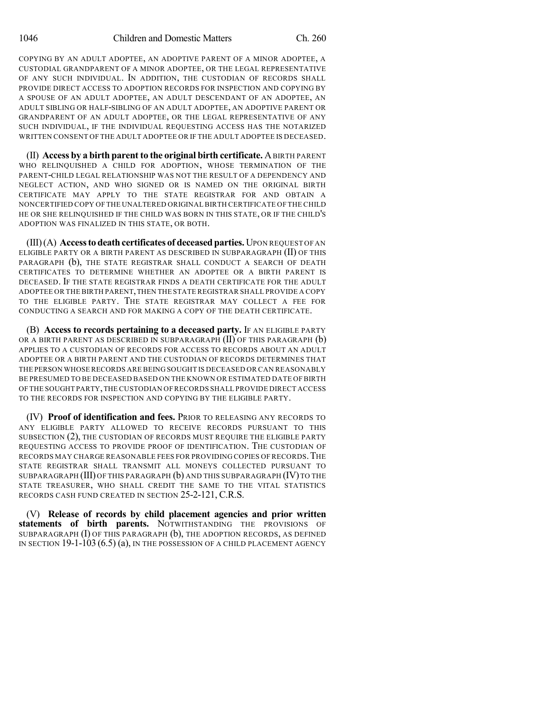COPYING BY AN ADULT ADOPTEE, AN ADOPTIVE PARENT OF A MINOR ADOPTEE, A CUSTODIAL GRANDPARENT OF A MINOR ADOPTEE, OR THE LEGAL REPRESENTATIVE OF ANY SUCH INDIVIDUAL. IN ADDITION, THE CUSTODIAN OF RECORDS SHALL PROVIDE DIRECT ACCESS TO ADOPTION RECORDS FOR INSPECTION AND COPYING BY A SPOUSE OF AN ADULT ADOPTEE, AN ADULT DESCENDANT OF AN ADOPTEE, AN ADULT SIBLING OR HALF-SIBLING OF AN ADULT ADOPTEE, AN ADOPTIVE PARENT OR GRANDPARENT OF AN ADULT ADOPTEE, OR THE LEGAL REPRESENTATIVE OF ANY SUCH INDIVIDUAL, IF THE INDIVIDUAL REQUESTING ACCESS HAS THE NOTARIZED WRITTEN CONSENT OF THE ADULT ADOPTEE OR IF THE ADULT ADOPTEE IS DECEASED.

(II) **Access by a birth parent to the original birth certificate.** ABIRTH PARENT WHO RELINQUISHED A CHILD FOR ADOPTION, WHOSE TERMINATION OF THE PARENT-CHILD LEGAL RELATIONSHIP WAS NOT THE RESULT OF A DEPENDENCY AND NEGLECT ACTION, AND WHO SIGNED OR IS NAMED ON THE ORIGINAL BIRTH CERTIFICATE MAY APPLY TO THE STATE REGISTRAR FOR AND OBTAIN A NONCERTIFIED COPY OF THE UNALTERED ORIGINAL BIRTH CERTIFICATE OF THE CHILD HE OR SHE RELINQUISHED IF THE CHILD WAS BORN IN THIS STATE, OR IF THE CHILD'S ADOPTION WAS FINALIZED IN THIS STATE, OR BOTH.

(III)(A) **Accessto death certificates of deceased parties.** UPON REQUEST OF AN ELIGIBLE PARTY OR A BIRTH PARENT AS DESCRIBED IN SUBPARAGRAPH (II) OF THIS PARAGRAPH (b), THE STATE REGISTRAR SHALL CONDUCT A SEARCH OF DEATH CERTIFICATES TO DETERMINE WHETHER AN ADOPTEE OR A BIRTH PARENT IS DECEASED. IF THE STATE REGISTRAR FINDS A DEATH CERTIFICATE FOR THE ADULT ADOPTEE OR THE BIRTH PARENT,THEN THE STATE REGISTRAR SHALL PROVIDE A COPY TO THE ELIGIBLE PARTY. THE STATE REGISTRAR MAY COLLECT A FEE FOR CONDUCTING A SEARCH AND FOR MAKING A COPY OF THE DEATH CERTIFICATE.

(B) **Access to records pertaining to a deceased party.** IF AN ELIGIBLE PARTY OR A BIRTH PARENT AS DESCRIBED IN SUBPARAGRAPH  $(II)$  OF THIS PARAGRAPH  $(b)$ APPLIES TO A CUSTODIAN OF RECORDS FOR ACCESS TO RECORDS ABOUT AN ADULT ADOPTEE OR A BIRTH PARENT AND THE CUSTODIAN OF RECORDS DETERMINES THAT THE PERSON WHOSE RECORDS ARE BEING SOUGHT IS DECEASED OR CAN REASONABLY BE PRESUMED TO BE DECEASED BASED ON THE KNOWN OR ESTIMATED DATE OF BIRTH OF THE SOUGHT PARTY,THE CUSTODIAN OFRECORDS SHALL PROVIDE DIRECT ACCESS TO THE RECORDS FOR INSPECTION AND COPYING BY THE ELIGIBLE PARTY.

(IV) **Proof of identification and fees.** PRIOR TO RELEASING ANY RECORDS TO ANY ELIGIBLE PARTY ALLOWED TO RECEIVE RECORDS PURSUANT TO THIS SUBSECTION (2), THE CUSTODIAN OF RECORDS MUST REQUIRE THE ELIGIBLE PARTY REQUESTING ACCESS TO PROVIDE PROOF OF IDENTIFICATION. THE CUSTODIAN OF RECORDS MAY CHARGE REASONABLE FEES FOR PROVIDING COPIES OF RECORDS.THE STATE REGISTRAR SHALL TRANSMIT ALL MONEYS COLLECTED PURSUANT TO SUBPARAGRAPH (III) OF THIS PARAGRAPH (b) AND THIS SUBPARAGRAPH (IV) TO THE STATE TREASURER, WHO SHALL CREDIT THE SAME TO THE VITAL STATISTICS RECORDS CASH FUND CREATED IN SECTION 25-2-121, C.R.S.

(V) **Release of records by child placement agencies and prior written statements of birth parents.** NOTWITHSTANDING THE PROVISIONS OF SUBPARAGRAPH (I) OF THIS PARAGRAPH (b), THE ADOPTION RECORDS, AS DEFINED IN SECTION 19-1-103 (6.5) (a), IN THE POSSESSION OF A CHILD PLACEMENT AGENCY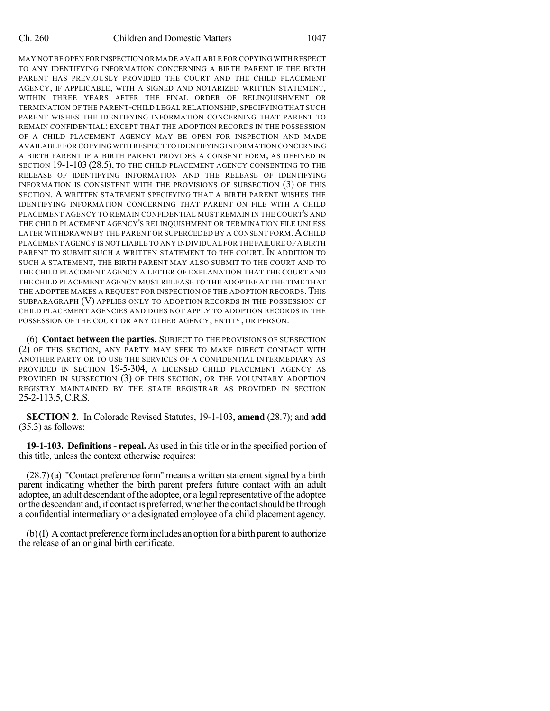MAY NOT BE OPEN FOR INSPECTION OR MADE AVAILABLE FOR COPYING WITH RESPECT TO ANY IDENTIFYING INFORMATION CONCERNING A BIRTH PARENT IF THE BIRTH PARENT HAS PREVIOUSLY PROVIDED THE COURT AND THE CHILD PLACEMENT AGENCY, IF APPLICABLE, WITH A SIGNED AND NOTARIZED WRITTEN STATEMENT, WITHIN THREE YEARS AFTER THE FINAL ORDER OF RELINQUISHMENT OR TERMINATION OF THE PARENT-CHILD LEGAL RELATIONSHIP, SPECIFYING THAT SUCH PARENT WISHES THE IDENTIFYING INFORMATION CONCERNING THAT PARENT TO REMAIN CONFIDENTIAL; EXCEPT THAT THE ADOPTION RECORDS IN THE POSSESSION OF A CHILD PLACEMENT AGENCY MAY BE OPEN FOR INSPECTION AND MADE AVAILABLE FOR COPYING WITH RESPECT TO IDENTIFYINGINFORMATION CONCERNING A BIRTH PARENT IF A BIRTH PARENT PROVIDES A CONSENT FORM, AS DEFINED IN SECTION 19-1-103 (28.5), TO THE CHILD PLACEMENT AGENCY CONSENTING TO THE RELEASE OF IDENTIFYING INFORMATION AND THE RELEASE OF IDENTIFYING INFORMATION IS CONSISTENT WITH THE PROVISIONS OF SUBSECTION (3) OF THIS SECTION. A WRITTEN STATEMENT SPECIFYING THAT A BIRTH PARENT WISHES THE IDENTIFYING INFORMATION CONCERNING THAT PARENT ON FILE WITH A CHILD PLACEMENT AGENCY TO REMAIN CONFIDENTIAL MUST REMAIN IN THE COURT'S AND THE CHILD PLACEMENT AGENCY'S RELINQUISHMENT OR TERMINATION FILE UNLESS LATER WITHDRAWN BY THE PARENT OR SUPERCEDED BY A CONSENT FORM. A CHILD PLACEMENT AGENCY IS NOT LIABLE TO ANY INDIVIDUAL FOR THE FAILURE OF A BIRTH PARENT TO SUBMIT SUCH A WRITTEN STATEMENT TO THE COURT. IN ADDITION TO SUCH A STATEMENT, THE BIRTH PARENT MAY ALSO SUBMIT TO THE COURT AND TO THE CHILD PLACEMENT AGENCY A LETTER OF EXPLANATION THAT THE COURT AND THE CHILD PLACEMENT AGENCY MUST RELEASE TO THE ADOPTEE AT THE TIME THAT THE ADOPTEE MAKES A REQUEST FOR INSPECTION OF THE ADOPTION RECORDS. THIS SUBPARAGRAPH (V) APPLIES ONLY TO ADOPTION RECORDS IN THE POSSESSION OF CHILD PLACEMENT AGENCIES AND DOES NOT APPLY TO ADOPTION RECORDS IN THE POSSESSION OF THE COURT OR ANY OTHER AGENCY, ENTITY, OR PERSON.

(6) **Contact between the parties.** SUBJECT TO THE PROVISIONS OF SUBSECTION (2) OF THIS SECTION, ANY PARTY MAY SEEK TO MAKE DIRECT CONTACT WITH ANOTHER PARTY OR TO USE THE SERVICES OF A CONFIDENTIAL INTERMEDIARY AS PROVIDED IN SECTION 19-5-304, A LICENSED CHILD PLACEMENT AGENCY AS PROVIDED IN SUBSECTION (3) OF THIS SECTION, OR THE VOLUNTARY ADOPTION REGISTRY MAINTAINED BY THE STATE REGISTRAR AS PROVIDED IN SECTION 25-2-113.5, C.R.S.

**SECTION 2.** In Colorado Revised Statutes, 19-1-103, **amend** (28.7); and **add** (35.3) as follows:

**19-1-103. Definitions- repeal.** As used in thistitle or in the specified portion of this title, unless the context otherwise requires:

 $(28.7)$  (a) "Contact preference form" means a written statement signed by a birth parent indicating whether the birth parent prefers future contact with an adult adoptee, an adult descendant of the adoptee, or a legal representative of the adoptee or the descendant and, if contact is preferred, whether the contact should be through a confidential intermediary or a designated employee of a child placement agency.

(b)(I) Acontact preference formincludes an option for a birth parent to authorize the release of an original birth certificate.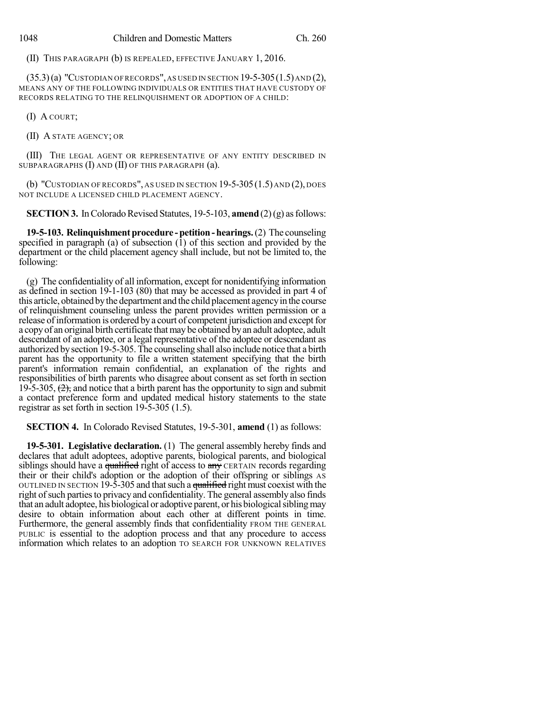(II) THIS PARAGRAPH (b) IS REPEALED, EFFECTIVE JANUARY 1, 2016.

 $(35.3)(a)$  "Custodian of records", as used in section 19-5-305 $(1.5)$  and  $(2)$ , MEANS ANY OF THE FOLLOWING INDIVIDUALS OR ENTITIES THAT HAVE CUSTODY OF RECORDS RELATING TO THE RELINQUISHMENT OR ADOPTION OF A CHILD:

(I) A COURT;

(II) A STATE AGENCY; OR

(III) THE LEGAL AGENT OR REPRESENTATIVE OF ANY ENTITY DESCRIBED IN SUBPARAGRAPHS (I) AND (II) OF THIS PARAGRAPH (a).

(b) "CUSTODIAN OF RECORDS", AS USED IN SECTION  $19-5-305(1.5)$  AND  $(2)$ , DOES NOT INCLUDE A LICENSED CHILD PLACEMENT AGENCY.

**SECTION 3.** In Colorado Revised Statutes, 19-5-103, **amend**  $(2)(g)$  as follows:

**19-5-103. Relinquishment procedure - petition - hearings.** (2) The counseling specified in paragraph (a) of subsection (1) of this section and provided by the department or the child placement agency shall include, but not be limited to, the following:

(g) The confidentiality of all information, except for nonidentifying information as defined in section 19-1-103 (80) that may be accessed as provided in part 4 of this article, obtained bythe department and the child placement agencyin the course of relinquishment counseling unless the parent provides written permission or a release of information is ordered by a court of competent jurisdiction and except for a copyof an original birth certificate that may be obtained byan adult adoptee, adult descendant of an adoptee, or a legal representative of the adoptee or descendant as authorized bysection 19-5-305. The counseling shall also include notice that a birth parent has the opportunity to file a written statement specifying that the birth parent's information remain confidential, an explanation of the rights and responsibilities of birth parents who disagree about consent as set forth in section 19-5-305,  $\left(2\right)$ , and notice that a birth parent has the opportunity to sign and submit a contact preference form and updated medical history statements to the state registrar as set forth in section 19-5-305 (1.5).

**SECTION 4.** In Colorado Revised Statutes, 19-5-301, **amend** (1) as follows:

**19-5-301. Legislative declaration.** (1) The general assembly hereby finds and declares that adult adoptees, adoptive parents, biological parents, and biological siblings should have a qualified right of access to  $\frac{any}{n}$  CERTAIN records regarding their or their child's adoption or the adoption of their offspring or siblings AS OUTLINED IN SECTION 19-5-305 and that such a qualified right must coexist with the right of such parties to privacy and confidentiality. The general assembly also finds that an adult adoptee, his biological or adoptive parent, or his biological sibling may desire to obtain information about each other at different points in time. Furthermore, the general assembly finds that confidentiality FROM THE GENERAL PUBLIC is essential to the adoption process and that any procedure to access information which relates to an adoption TO SEARCH FOR UNKNOWN RELATIVES